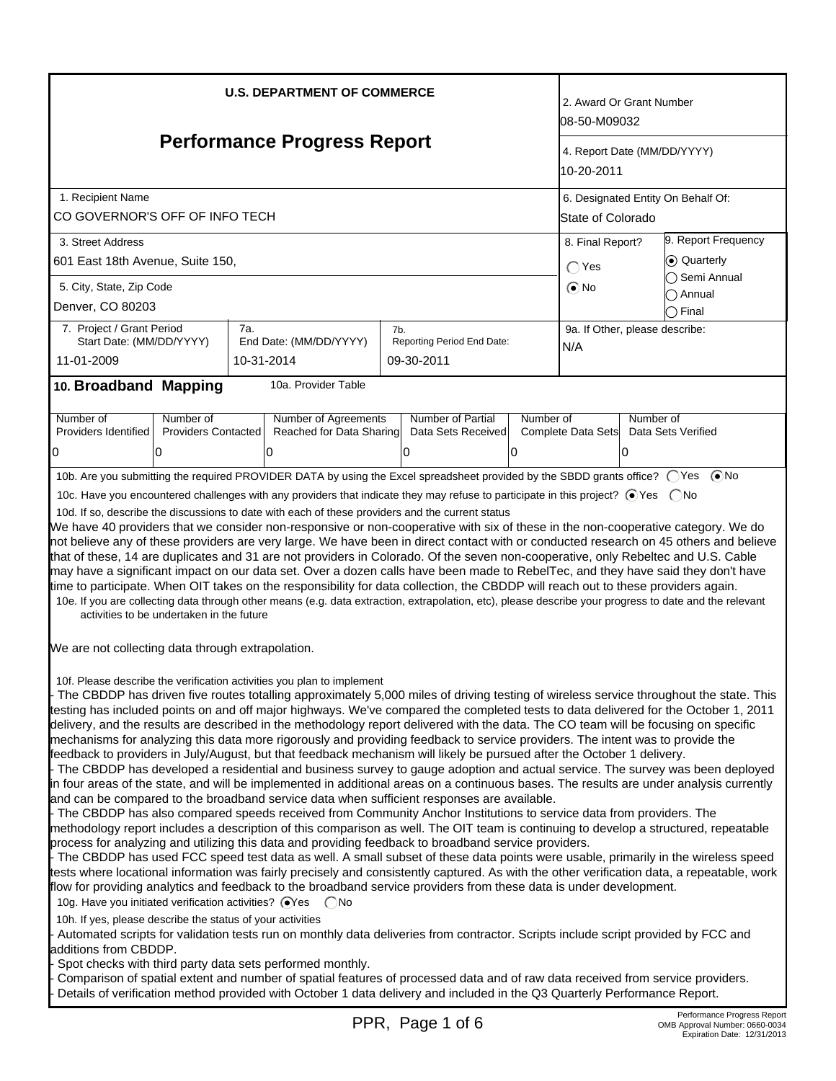| <b>U.S. DEPARTMENT OF COMMERCE</b>                                                                                                                |                                           |            |                                                                                                                                                                                                                                                                                                                                                                                                                                                                                                                                                                                                                                                                                                                                                                                                                                                                                                                                                                                                                                                                                                                                                                                                                                                                                                                                                                                                                                                                                                                                       |     |                                         | 2. Award Or Grant Number<br>l08-50-M09032 |                                |                                         |                                                                                                                                                                                                                                                                                                                                                                                                                                                                                                                                                                                                                                                                                                                                                                                                                                              |  |
|---------------------------------------------------------------------------------------------------------------------------------------------------|-------------------------------------------|------------|---------------------------------------------------------------------------------------------------------------------------------------------------------------------------------------------------------------------------------------------------------------------------------------------------------------------------------------------------------------------------------------------------------------------------------------------------------------------------------------------------------------------------------------------------------------------------------------------------------------------------------------------------------------------------------------------------------------------------------------------------------------------------------------------------------------------------------------------------------------------------------------------------------------------------------------------------------------------------------------------------------------------------------------------------------------------------------------------------------------------------------------------------------------------------------------------------------------------------------------------------------------------------------------------------------------------------------------------------------------------------------------------------------------------------------------------------------------------------------------------------------------------------------------|-----|-----------------------------------------|-------------------------------------------|--------------------------------|-----------------------------------------|----------------------------------------------------------------------------------------------------------------------------------------------------------------------------------------------------------------------------------------------------------------------------------------------------------------------------------------------------------------------------------------------------------------------------------------------------------------------------------------------------------------------------------------------------------------------------------------------------------------------------------------------------------------------------------------------------------------------------------------------------------------------------------------------------------------------------------------------|--|
| <b>Performance Progress Report</b>                                                                                                                |                                           |            |                                                                                                                                                                                                                                                                                                                                                                                                                                                                                                                                                                                                                                                                                                                                                                                                                                                                                                                                                                                                                                                                                                                                                                                                                                                                                                                                                                                                                                                                                                                                       |     |                                         | 4. Report Date (MM/DD/YYYY)<br>10-20-2011 |                                |                                         |                                                                                                                                                                                                                                                                                                                                                                                                                                                                                                                                                                                                                                                                                                                                                                                                                                              |  |
| 1. Recipient Name                                                                                                                                 |                                           |            |                                                                                                                                                                                                                                                                                                                                                                                                                                                                                                                                                                                                                                                                                                                                                                                                                                                                                                                                                                                                                                                                                                                                                                                                                                                                                                                                                                                                                                                                                                                                       |     |                                         | 6. Designated Entity On Behalf Of:        |                                |                                         |                                                                                                                                                                                                                                                                                                                                                                                                                                                                                                                                                                                                                                                                                                                                                                                                                                              |  |
| CO GOVERNOR'S OFF OF INFO TECH                                                                                                                    |                                           |            |                                                                                                                                                                                                                                                                                                                                                                                                                                                                                                                                                                                                                                                                                                                                                                                                                                                                                                                                                                                                                                                                                                                                                                                                                                                                                                                                                                                                                                                                                                                                       |     |                                         |                                           | State of Colorado              |                                         |                                                                                                                                                                                                                                                                                                                                                                                                                                                                                                                                                                                                                                                                                                                                                                                                                                              |  |
| 3. Street Address                                                                                                                                 |                                           |            |                                                                                                                                                                                                                                                                                                                                                                                                                                                                                                                                                                                                                                                                                                                                                                                                                                                                                                                                                                                                                                                                                                                                                                                                                                                                                                                                                                                                                                                                                                                                       |     |                                         |                                           |                                | 9. Report Frequency<br>8. Final Report? |                                                                                                                                                                                                                                                                                                                                                                                                                                                                                                                                                                                                                                                                                                                                                                                                                                              |  |
| 601 East 18th Avenue, Suite 150,                                                                                                                  |                                           |            |                                                                                                                                                                                                                                                                                                                                                                                                                                                                                                                                                                                                                                                                                                                                                                                                                                                                                                                                                                                                                                                                                                                                                                                                                                                                                                                                                                                                                                                                                                                                       |     |                                         |                                           | $\bigcap$ Yes                  |                                         | ⊙ Quarterly<br>◯ Semi Annual                                                                                                                                                                                                                                                                                                                                                                                                                                                                                                                                                                                                                                                                                                                                                                                                                 |  |
| 5. City, State, Zip Code                                                                                                                          |                                           |            |                                                                                                                                                                                                                                                                                                                                                                                                                                                                                                                                                                                                                                                                                                                                                                                                                                                                                                                                                                                                                                                                                                                                                                                                                                                                                                                                                                                                                                                                                                                                       |     |                                         |                                           | $\odot$ No                     |                                         | Annual                                                                                                                                                                                                                                                                                                                                                                                                                                                                                                                                                                                                                                                                                                                                                                                                                                       |  |
| Denver, CO 80203                                                                                                                                  |                                           |            |                                                                                                                                                                                                                                                                                                                                                                                                                                                                                                                                                                                                                                                                                                                                                                                                                                                                                                                                                                                                                                                                                                                                                                                                                                                                                                                                                                                                                                                                                                                                       |     |                                         |                                           |                                |                                         | $\bigcirc$ Final                                                                                                                                                                                                                                                                                                                                                                                                                                                                                                                                                                                                                                                                                                                                                                                                                             |  |
| 7. Project / Grant Period<br>Start Date: (MM/DD/YYYY)                                                                                             |                                           | 7a.        | End Date: (MM/DD/YYYY)                                                                                                                                                                                                                                                                                                                                                                                                                                                                                                                                                                                                                                                                                                                                                                                                                                                                                                                                                                                                                                                                                                                                                                                                                                                                                                                                                                                                                                                                                                                | 7b. | Reporting Period End Date:              |                                           | 9a. If Other, please describe: |                                         |                                                                                                                                                                                                                                                                                                                                                                                                                                                                                                                                                                                                                                                                                                                                                                                                                                              |  |
| 11-01-2009                                                                                                                                        |                                           | 10-31-2014 |                                                                                                                                                                                                                                                                                                                                                                                                                                                                                                                                                                                                                                                                                                                                                                                                                                                                                                                                                                                                                                                                                                                                                                                                                                                                                                                                                                                                                                                                                                                                       |     | 09-30-2011                              |                                           | N/A                            |                                         |                                                                                                                                                                                                                                                                                                                                                                                                                                                                                                                                                                                                                                                                                                                                                                                                                                              |  |
| 10. Broadband Mapping                                                                                                                             |                                           |            | 10a. Provider Table                                                                                                                                                                                                                                                                                                                                                                                                                                                                                                                                                                                                                                                                                                                                                                                                                                                                                                                                                                                                                                                                                                                                                                                                                                                                                                                                                                                                                                                                                                                   |     |                                         |                                           |                                |                                         |                                                                                                                                                                                                                                                                                                                                                                                                                                                                                                                                                                                                                                                                                                                                                                                                                                              |  |
|                                                                                                                                                   |                                           |            |                                                                                                                                                                                                                                                                                                                                                                                                                                                                                                                                                                                                                                                                                                                                                                                                                                                                                                                                                                                                                                                                                                                                                                                                                                                                                                                                                                                                                                                                                                                                       |     |                                         |                                           |                                |                                         |                                                                                                                                                                                                                                                                                                                                                                                                                                                                                                                                                                                                                                                                                                                                                                                                                                              |  |
| Number of<br>Providers Identified                                                                                                                 | Number of<br><b>Providers Contacted</b>   |            | Number of Agreements<br>Reached for Data Sharing                                                                                                                                                                                                                                                                                                                                                                                                                                                                                                                                                                                                                                                                                                                                                                                                                                                                                                                                                                                                                                                                                                                                                                                                                                                                                                                                                                                                                                                                                      |     | Number of Partial<br>Data Sets Received | Number of                                 | Complete Data Sets             |                                         | Number of<br>Data Sets Verified                                                                                                                                                                                                                                                                                                                                                                                                                                                                                                                                                                                                                                                                                                                                                                                                              |  |
| 10                                                                                                                                                | 0                                         |            | 10                                                                                                                                                                                                                                                                                                                                                                                                                                                                                                                                                                                                                                                                                                                                                                                                                                                                                                                                                                                                                                                                                                                                                                                                                                                                                                                                                                                                                                                                                                                                    |     | 0                                       | 0                                         |                                | IO.                                     |                                                                                                                                                                                                                                                                                                                                                                                                                                                                                                                                                                                                                                                                                                                                                                                                                                              |  |
|                                                                                                                                                   |                                           |            |                                                                                                                                                                                                                                                                                                                                                                                                                                                                                                                                                                                                                                                                                                                                                                                                                                                                                                                                                                                                                                                                                                                                                                                                                                                                                                                                                                                                                                                                                                                                       |     |                                         |                                           |                                |                                         |                                                                                                                                                                                                                                                                                                                                                                                                                                                                                                                                                                                                                                                                                                                                                                                                                                              |  |
|                                                                                                                                                   |                                           |            | 10b. Are you submitting the required PROVIDER DATA by using the Excel spreadsheet provided by the SBDD grants office? (Ses (■No                                                                                                                                                                                                                                                                                                                                                                                                                                                                                                                                                                                                                                                                                                                                                                                                                                                                                                                                                                                                                                                                                                                                                                                                                                                                                                                                                                                                       |     |                                         |                                           |                                |                                         |                                                                                                                                                                                                                                                                                                                                                                                                                                                                                                                                                                                                                                                                                                                                                                                                                                              |  |
|                                                                                                                                                   |                                           |            | 10c. Have you encountered challenges with any providers that indicate they may refuse to participate in this project? ● Yes ● No                                                                                                                                                                                                                                                                                                                                                                                                                                                                                                                                                                                                                                                                                                                                                                                                                                                                                                                                                                                                                                                                                                                                                                                                                                                                                                                                                                                                      |     |                                         |                                           |                                |                                         |                                                                                                                                                                                                                                                                                                                                                                                                                                                                                                                                                                                                                                                                                                                                                                                                                                              |  |
|                                                                                                                                                   |                                           |            | 10d. If so, describe the discussions to date with each of these providers and the current status                                                                                                                                                                                                                                                                                                                                                                                                                                                                                                                                                                                                                                                                                                                                                                                                                                                                                                                                                                                                                                                                                                                                                                                                                                                                                                                                                                                                                                      |     |                                         |                                           |                                |                                         |                                                                                                                                                                                                                                                                                                                                                                                                                                                                                                                                                                                                                                                                                                                                                                                                                                              |  |
|                                                                                                                                                   |                                           |            | We have 40 providers that we consider non-responsive or non-cooperative with six of these in the non-cooperative category. We do                                                                                                                                                                                                                                                                                                                                                                                                                                                                                                                                                                                                                                                                                                                                                                                                                                                                                                                                                                                                                                                                                                                                                                                                                                                                                                                                                                                                      |     |                                         |                                           |                                |                                         | not believe any of these providers are very large. We have been in direct contact with or conducted research on 45 others and believe                                                                                                                                                                                                                                                                                                                                                                                                                                                                                                                                                                                                                                                                                                        |  |
|                                                                                                                                                   | activities to be undertaken in the future |            | that of these, 14 are duplicates and 31 are not providers in Colorado. Of the seven non-cooperative, only Rebeltec and U.S. Cable<br>may have a significant impact on our data set. Over a dozen calls have been made to RebelTec, and they have said they don't have<br>time to participate. When OIT takes on the responsibility for data collection, the CBDDP will reach out to these providers again.<br>10e. If you are collecting data through other means (e.g. data extraction, extrapolation, etc), please describe your progress to date and the relevant                                                                                                                                                                                                                                                                                                                                                                                                                                                                                                                                                                                                                                                                                                                                                                                                                                                                                                                                                                  |     |                                         |                                           |                                |                                         |                                                                                                                                                                                                                                                                                                                                                                                                                                                                                                                                                                                                                                                                                                                                                                                                                                              |  |
| We are not collecting data through extrapolation.                                                                                                 |                                           |            |                                                                                                                                                                                                                                                                                                                                                                                                                                                                                                                                                                                                                                                                                                                                                                                                                                                                                                                                                                                                                                                                                                                                                                                                                                                                                                                                                                                                                                                                                                                                       |     |                                         |                                           |                                |                                         |                                                                                                                                                                                                                                                                                                                                                                                                                                                                                                                                                                                                                                                                                                                                                                                                                                              |  |
| 10g. Have you initiated verification activities? ⊙Yes  CNo<br>10h. If yes, please describe the status of your activities<br>additions from CBDDP. |                                           |            | 10f. Please describe the verification activities you plan to implement<br>delivery, and the results are described in the methodology report delivered with the data. The CO team will be focusing on specific<br>mechanisms for analyzing this data more rigorously and providing feedback to service providers. The intent was to provide the<br>feedback to providers in July/August, but that feedback mechanism will likely be pursued after the October 1 delivery.<br>and can be compared to the broadband service data when sufficient responses are available.<br>- The CBDDP has also compared speeds received from Community Anchor Institutions to service data from providers. The<br>methodology report includes a description of this comparison as well. The OIT team is continuing to develop a structured, repeatable<br>process for analyzing and utilizing this data and providing feedback to broadband service providers.<br>flow for providing analytics and feedback to the broadband service providers from these data is under development.<br>Automated scripts for validation tests run on monthly data deliveries from contractor. Scripts include script provided by FCC and<br>Spot checks with third party data sets performed monthly.<br>Comparison of spatial extent and number of spatial features of processed data and of raw data received from service providers.<br>Details of verification method provided with October 1 data delivery and included in the Q3 Quarterly Performance Report. |     |                                         |                                           |                                |                                         | The CBDDP has driven five routes totalling approximately 5,000 miles of driving testing of wireless service throughout the state. This<br>testing has included points on and off major highways. We've compared the completed tests to data delivered for the October 1, 2011<br>- The CBDDP has developed a residential and business survey to gauge adoption and actual service. The survey was been deployed<br>in four areas of the state, and will be implemented in additional areas on a continuous bases. The results are under analysis currently<br>The CBDDP has used FCC speed test data as well. A small subset of these data points were usable, primarily in the wireless speed<br>tests where locational information was fairly precisely and consistently captured. As with the other verification data, a repeatable, work |  |
|                                                                                                                                                   |                                           |            |                                                                                                                                                                                                                                                                                                                                                                                                                                                                                                                                                                                                                                                                                                                                                                                                                                                                                                                                                                                                                                                                                                                                                                                                                                                                                                                                                                                                                                                                                                                                       |     | PPR, Page 1 of 6                        |                                           |                                |                                         | Performance Progress Report<br>OMB Approval Number: 0660-0034                                                                                                                                                                                                                                                                                                                                                                                                                                                                                                                                                                                                                                                                                                                                                                                |  |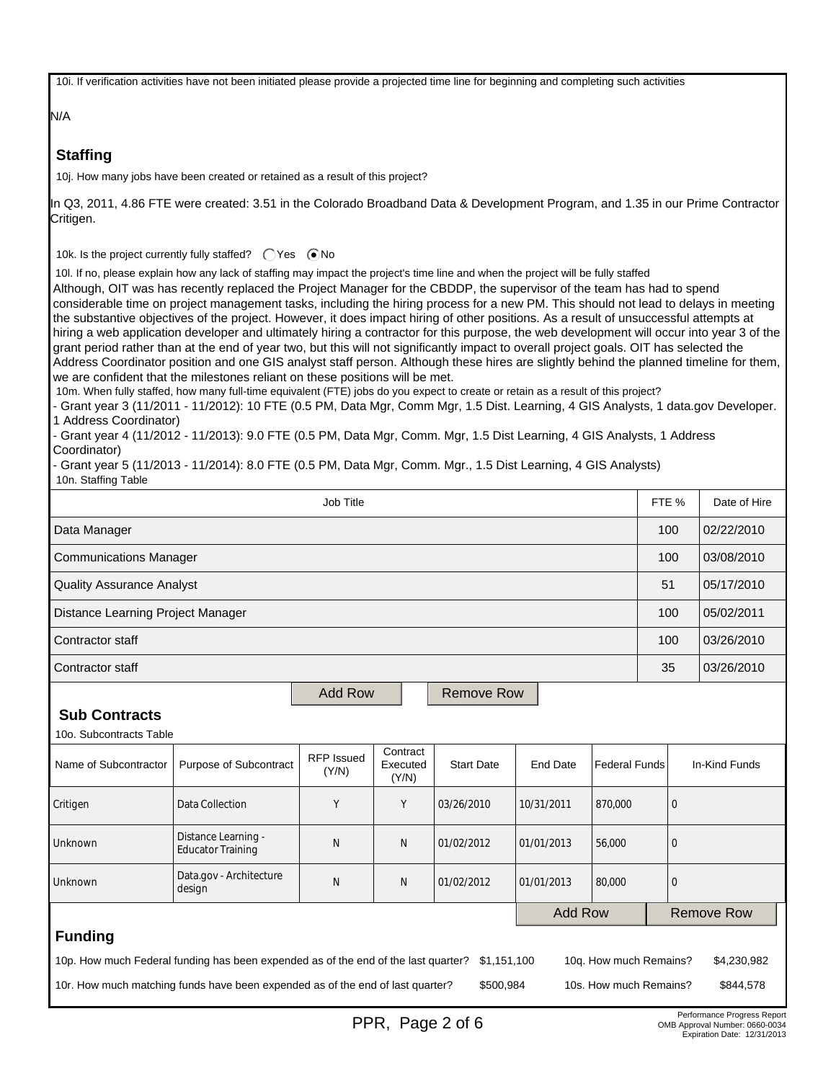10i. If verification activities have not been initiated please provide a projected time line for beginning and completing such activities

N/A

## **Staffing**

10j. How many jobs have been created or retained as a result of this project?

In Q3, 2011, 4.86 FTE were created: 3.51 in the Colorado Broadband Data & Development Program, and 1.35 in our Prime Contractor Critigen.

10k. Is the project currently fully staffed?  $\bigcap$  Yes  $\bigcirc$  No

10l. If no, please explain how any lack of staffing may impact the project's time line and when the project will be fully staffed

Although, OIT was has recently replaced the Project Manager for the CBDDP, the supervisor of the team has had to spend considerable time on project management tasks, including the hiring process for a new PM. This should not lead to delays in meeting the substantive objectives of the project. However, it does impact hiring of other positions. As a result of unsuccessful attempts at hiring a web application developer and ultimately hiring a contractor for this purpose, the web development will occur into year 3 of the grant period rather than at the end of year two, but this will not significantly impact to overall project goals. OIT has selected the Address Coordinator position and one GIS analyst staff person. Although these hires are slightly behind the planned timeline for them, we are confident that the milestones reliant on these positions will be met.

10m. When fully staffed, how many full-time equivalent (FTE) jobs do you expect to create or retain as a result of this project?

- Grant year 3 (11/2011 - 11/2012): 10 FTE (0.5 PM, Data Mgr, Comm Mgr, 1.5 Dist. Learning, 4 GIS Analysts, 1 data.gov Developer. 1 Address Coordinator)

- Grant year 4 (11/2012 - 11/2013): 9.0 FTE (0.5 PM, Data Mgr, Comm. Mgr, 1.5 Dist Learning, 4 GIS Analysts, 1 Address Coordinator)

- Grant year 5 (11/2013 - 11/2014): 8.0 FTE (0.5 PM, Data Mgr, Comm. Mgr., 1.5 Dist Learning, 4 GIS Analysts) 10n. Staffing Table

| Job Title                                                                                                                                  |                                   |                            |                               |                   |                 |                      |                   | Date of Hire  |
|--------------------------------------------------------------------------------------------------------------------------------------------|-----------------------------------|----------------------------|-------------------------------|-------------------|-----------------|----------------------|-------------------|---------------|
| Data Manager                                                                                                                               |                                   |                            |                               |                   |                 |                      |                   | 02/22/2010    |
| <b>Communications Manager</b>                                                                                                              |                                   |                            |                               |                   |                 |                      |                   | 03/08/2010    |
| <b>Quality Assurance Analyst</b>                                                                                                           |                                   |                            |                               |                   |                 |                      | 51                | 05/17/2010    |
| Distance Learning Project Manager                                                                                                          |                                   |                            |                               |                   |                 |                      | 100               | 05/02/2011    |
| Contractor staff                                                                                                                           |                                   |                            |                               |                   |                 |                      | 100               | 03/26/2010    |
| Contractor staff                                                                                                                           |                                   |                            |                               |                   |                 |                      | 35                | 03/26/2010    |
|                                                                                                                                            |                                   | <b>Add Row</b>             |                               | <b>Remove Row</b> |                 |                      |                   |               |
| <b>Sub Contracts</b>                                                                                                                       |                                   |                            |                               |                   |                 |                      |                   |               |
| 10o. Subcontracts Table                                                                                                                    |                                   |                            |                               |                   |                 |                      |                   |               |
| Name of Subcontractor                                                                                                                      | Purpose of Subcontract            | <b>RFP</b> Issued<br>(Y/N) | Contract<br>Executed<br>(Y/N) | <b>Start Date</b> | <b>End Date</b> | <b>Federal Funds</b> |                   | In-Kind Funds |
| Critigen                                                                                                                                   | Data Collection<br>Y<br>Y         |                            |                               | 03/26/2010        | 10/31/2011      | 870,000              | $\overline{0}$    |               |
| Distance Learning -<br>Unknown<br><b>Educator Training</b>                                                                                 |                                   | N                          | N                             | 01/02/2012        | 01/01/2013      | 56,000               | $\mathbf{0}$      |               |
| Unknown                                                                                                                                    | Data.gov - Architecture<br>design | N                          | N                             | 01/02/2012        | 01/01/2013      | 80,000               | $\mathbf{0}$      |               |
| <b>Add Row</b>                                                                                                                             |                                   |                            |                               |                   |                 |                      | <b>Remove Row</b> |               |
| <b>Funding</b>                                                                                                                             |                                   |                            |                               |                   |                 |                      |                   |               |
| 10p. How much Federal funding has been expended as of the end of the last quarter?<br>\$1,151,100<br>10g. How much Remains?<br>\$4,230,982 |                                   |                            |                               |                   |                 |                      |                   |               |
| 10r. How much matching funds have been expended as of the end of last quarter?<br>\$500,984<br>10s. How much Remains?<br>\$844,578         |                                   |                            |                               |                   |                 |                      |                   |               |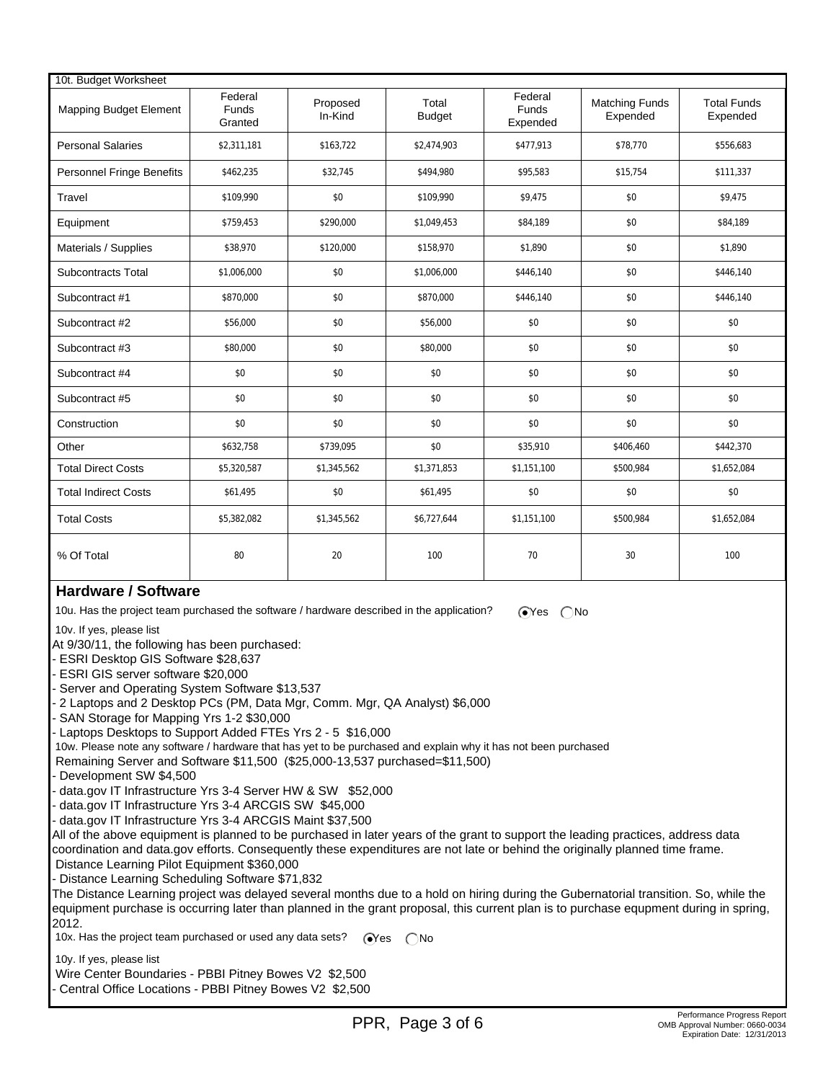| 10t. Budget Worksheet            |                                    |                     |                        |                              |                                   |                                |
|----------------------------------|------------------------------------|---------------------|------------------------|------------------------------|-----------------------------------|--------------------------------|
| <b>Mapping Budget Element</b>    | Federal<br><b>Funds</b><br>Granted | Proposed<br>In-Kind | Total<br><b>Budget</b> | Federal<br>Funds<br>Expended | <b>Matching Funds</b><br>Expended | <b>Total Funds</b><br>Expended |
| <b>Personal Salaries</b>         | \$2,311,181                        | \$163,722           | \$2,474,903            | \$477,913                    | \$78,770                          | \$556,683                      |
| <b>Personnel Fringe Benefits</b> | \$462,235                          | \$32,745            | \$494,980              | \$95,583                     | \$15,754                          | \$111,337                      |
| Travel                           | \$109,990                          | \$0                 | \$109,990              | \$9,475                      | \$0                               | \$9,475                        |
| Equipment                        | \$759,453                          | \$290,000           | \$1,049,453            | \$84,189                     | \$0                               | \$84,189                       |
| Materials / Supplies             | \$38,970                           | \$120,000           | \$158,970              | \$1,890                      | \$0                               | \$1,890                        |
| Subcontracts Total               | \$1,006,000                        | \$0                 | \$1,006,000            | \$446,140                    | \$0                               | \$446,140                      |
| Subcontract #1                   | \$870,000                          | \$0                 | \$870,000              | \$446,140                    | \$0                               | \$446,140                      |
| Subcontract #2                   | \$56,000                           | \$0                 | \$56,000               | \$0                          | \$0                               | \$0                            |
| Subcontract #3                   | \$80,000                           | \$0                 | \$80,000               | \$0                          | \$0                               | \$0                            |
| Subcontract #4                   | \$0                                | \$0                 | \$0                    | \$0                          | \$0                               | \$0                            |
| Subcontract #5                   | \$0                                | \$0                 | \$0                    | \$0                          | \$0                               | \$0                            |
| Construction                     | \$0                                | \$0                 | \$0                    | \$0                          | \$0                               | \$0                            |
| Other                            | \$632,758                          | \$739,095           | \$0                    | \$35,910                     | \$406,460                         | \$442,370                      |
| <b>Total Direct Costs</b>        | \$5,320,587                        | \$1,345,562         | \$1,371,853            | \$1,151,100                  | \$500,984                         | \$1,652,084                    |
| <b>Total Indirect Costs</b>      | \$61,495                           | \$0                 | \$61,495               | \$0                          | \$0                               | \$0                            |
| <b>Total Costs</b>               | \$5,382,082                        | \$1,345,562         | \$6,727,644            | \$1,151,100                  | \$500,984                         | \$1,652,084                    |
| % Of Total                       | 80                                 | 20                  | 100                    | 70                           | 30                                | 100                            |

## **Hardware / Software**

10u. Has the project team purchased the software / hardware described in the application?  $\sum_{s}$   $\sum_{s}$ 

10v. If yes, please list

At 9/30/11, the following has been purchased:

- ESRI Desktop GIS Software \$28,637

- ESRI GIS server software \$20,000

- Server and Operating System Software \$13,537

- 2 Laptops and 2 Desktop PCs (PM, Data Mgr, Comm. Mgr, QA Analyst) \$6,000

- SAN Storage for Mapping Yrs 1-2 \$30,000

- Laptops Desktops to Support Added FTEs Yrs 2 - 5 \$16,000

10w. Please note any software / hardware that has yet to be purchased and explain why it has not been purchased

Remaining Server and Software \$11,500 (\$25,000-13,537 purchased=\$11,500)

- Development SW \$4,500

data.gov IT Infrastructure Yrs 3-4 Server HW & SW \$52,000

data.gov IT Infrastructure Yrs 3-4 ARCGIS SW \$45,000

data.gov IT Infrastructure Yrs 3-4 ARCGIS Maint \$37,500

All of the above equipment is planned to be purchased in later years of the grant to support the leading practices, address data coordination and data.gov efforts. Consequently these expenditures are not late or behind the originally planned time frame. Distance Learning Pilot Equipment \$360,000

- Distance Learning Scheduling Software \$71,832

The Distance Learning project was delayed several months due to a hold on hiring during the Gubernatorial transition. So, while the equipment purchase is occurring later than planned in the grant proposal, this current plan is to purchase equpment during in spring, 2012.

10x. Has the project team purchased or used any data sets?  $\sqrt{\ }$ es  $\sqrt{\ }$ No

10y. If yes, please list

Wire Center Boundaries - PBBI Pitney Bowes V2 \$2,500

- Central Office Locations - PBBI Pitney Bowes V2 \$2,500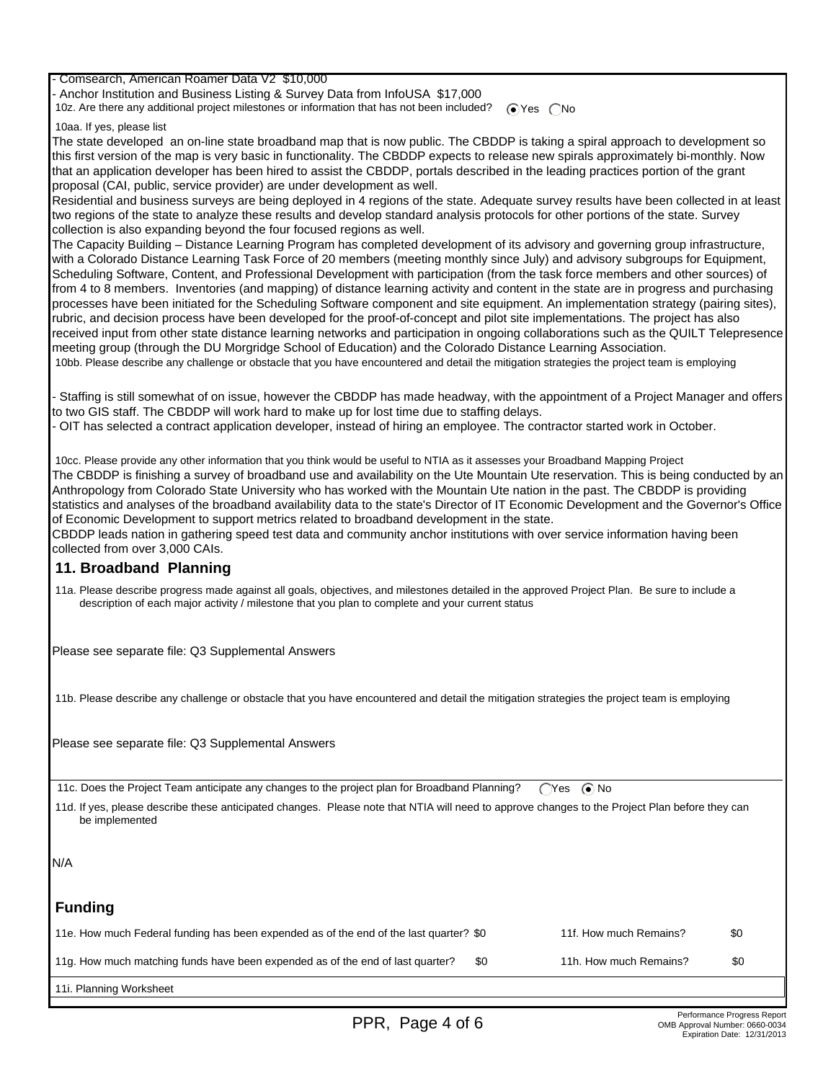- Comsearch, American Roamer Data V2 \$10,000

- Anchor Institution and Business Listing & Survey Data from InfoUSA \$17,000

10z. Are there any additional project milestones or information that has not been included?  $\bigcirc$  Yes  $\bigcirc$  No

10aa. If yes, please list

The state developed an on-line state broadband map that is now public. The CBDDP is taking a spiral approach to development so this first version of the map is very basic in functionality. The CBDDP expects to release new spirals approximately bi-monthly. Now that an application developer has been hired to assist the CBDDP, portals described in the leading practices portion of the grant proposal (CAI, public, service provider) are under development as well.

Residential and business surveys are being deployed in 4 regions of the state. Adequate survey results have been collected in at least two regions of the state to analyze these results and develop standard analysis protocols for other portions of the state. Survey collection is also expanding beyond the four focused regions as well.

The Capacity Building – Distance Learning Program has completed development of its advisory and governing group infrastructure, with a Colorado Distance Learning Task Force of 20 members (meeting monthly since July) and advisory subgroups for Equipment, Scheduling Software, Content, and Professional Development with participation (from the task force members and other sources) of from 4 to 8 members. Inventories (and mapping) of distance learning activity and content in the state are in progress and purchasing processes have been initiated for the Scheduling Software component and site equipment. An implementation strategy (pairing sites), rubric, and decision process have been developed for the proof-of-concept and pilot site implementations. The project has also received input from other state distance learning networks and participation in ongoing collaborations such as the QUILT Telepresence meeting group (through the DU Morgridge School of Education) and the Colorado Distance Learning Association. 10bb. Please describe any challenge or obstacle that you have encountered and detail the mitigation strategies the project team is employing

- Staffing is still somewhat of on issue, however the CBDDP has made headway, with the appointment of a Project Manager and offers to two GIS staff. The CBDDP will work hard to make up for lost time due to staffing delays.

- OIT has selected a contract application developer, instead of hiring an employee. The contractor started work in October.

 10cc. Please provide any other information that you think would be useful to NTIA as it assesses your Broadband Mapping Project The CBDDP is finishing a survey of broadband use and availability on the Ute Mountain Ute reservation. This is being conducted by an Anthropology from Colorado State University who has worked with the Mountain Ute nation in the past. The CBDDP is providing statistics and analyses of the broadband availability data to the state's Director of IT Economic Development and the Governor's Office of Economic Development to support metrics related to broadband development in the state.

CBDDP leads nation in gathering speed test data and community anchor institutions with over service information having been collected from over 3,000 CAIs.

#### **11. Broadband Planning**

 11a. Please describe progress made against all goals, objectives, and milestones detailed in the approved Project Plan. Be sure to include a description of each major activity / milestone that you plan to complete and your current status

Please see separate file: Q3 Supplemental Answers

11b. Please describe any challenge or obstacle that you have encountered and detail the mitigation strategies the project team is employing

Please see separate file: Q3 Supplemental Answers

11c. Does the Project Team anticipate any changes to the project plan for Broadband Planning? (Yes  $\bigcirc$  No

 11d. If yes, please describe these anticipated changes. Please note that NTIA will need to approve changes to the Project Plan before they can be implemented

N/A

## **Funding**

| 11e. How much Federal funding has been expended as of the end of the last quarter? \$0 |     | 11f. How much Remains? | \$0 |
|----------------------------------------------------------------------------------------|-----|------------------------|-----|
| 11g. How much matching funds have been expended as of the end of last quarter?         | \$0 | 11h. How much Remains? | \$0 |
|                                                                                        |     |                        |     |

11i. Planning Worksheet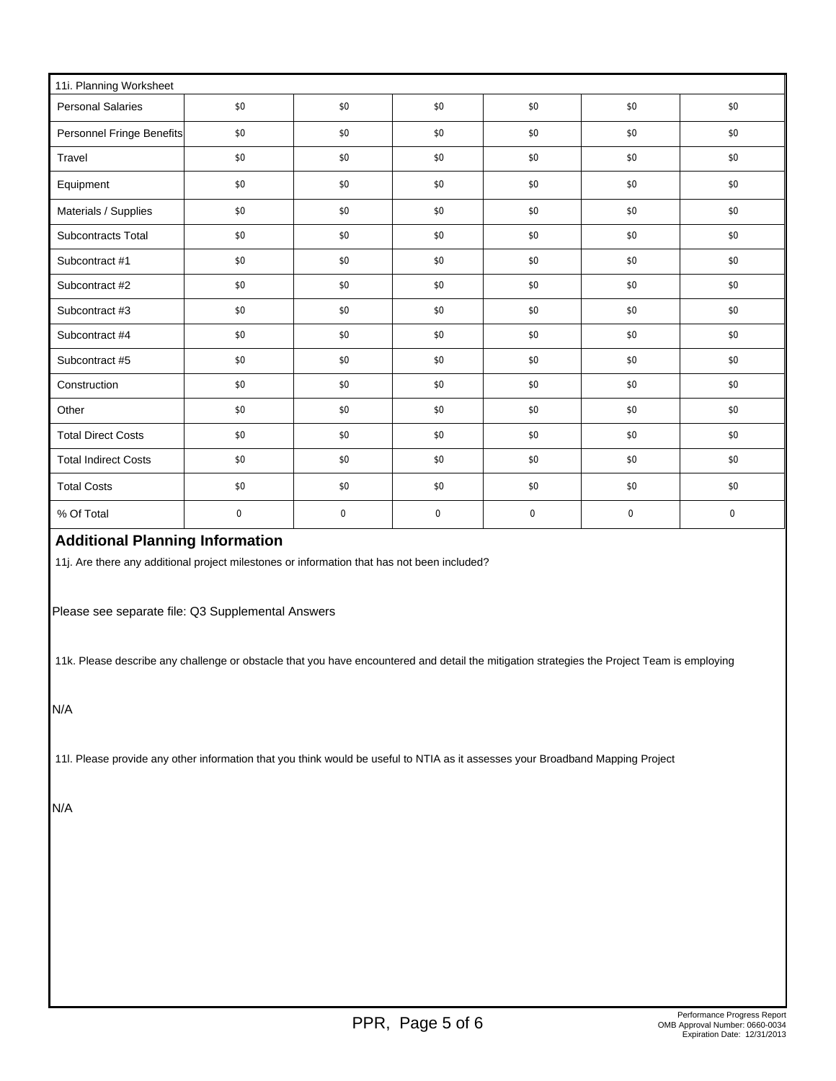| 11i. Planning Worksheet     |                  |             |             |     |     |     |  |  |
|-----------------------------|------------------|-------------|-------------|-----|-----|-----|--|--|
| <b>Personal Salaries</b>    | \$0              | \$0         | \$0         | \$0 | \$0 | \$0 |  |  |
| Personnel Fringe Benefits   | \$0              | \$0         | $\$0$       | \$0 | \$0 | \$0 |  |  |
| Travel                      | \$0              | \$0         | \$0         | \$0 | \$0 | \$0 |  |  |
| Equipment                   | \$0              | \$0         | \$0         | \$0 | \$0 | \$0 |  |  |
| Materials / Supplies        | \$0              | \$0         | \$0         | \$0 | \$0 | \$0 |  |  |
| Subcontracts Total          | \$0              | \$0         | \$0         | \$0 | \$0 | \$0 |  |  |
| Subcontract #1              | \$0              | \$0         | \$0         | \$0 | \$0 | \$0 |  |  |
| Subcontract #2              | \$0              | \$0         | \$0         | \$0 | \$0 | \$0 |  |  |
| Subcontract #3              | \$0              | \$0         | \$0         | \$0 | \$0 | \$0 |  |  |
| Subcontract #4              | \$0              | \$0         | \$0         | \$0 | \$0 | \$0 |  |  |
| Subcontract #5              | \$0              | \$0         | \$0         | \$0 | \$0 | \$0 |  |  |
| Construction                | \$0              | \$0         | \$0         | \$0 | \$0 | \$0 |  |  |
| Other                       | \$0              | \$0         | \$0         | \$0 | \$0 | \$0 |  |  |
| <b>Total Direct Costs</b>   | \$0              | \$0         | \$0         | \$0 | \$0 | \$0 |  |  |
| <b>Total Indirect Costs</b> | \$0              | \$0         | \$0         | \$0 | \$0 | \$0 |  |  |
| <b>Total Costs</b>          | \$0              | \$0         | \$0         | \$0 | \$0 | \$0 |  |  |
| % Of Total                  | $\boldsymbol{0}$ | $\mathbf 0$ | $\mathbf 0$ | 0   | 0   | 0   |  |  |

# **Additional Planning Information**

11j. Are there any additional project milestones or information that has not been included?

Please see separate file: Q3 Supplemental Answers

11k. Please describe any challenge or obstacle that you have encountered and detail the mitigation strategies the Project Team is employing

N/A

11l. Please provide any other information that you think would be useful to NTIA as it assesses your Broadband Mapping Project

N/A